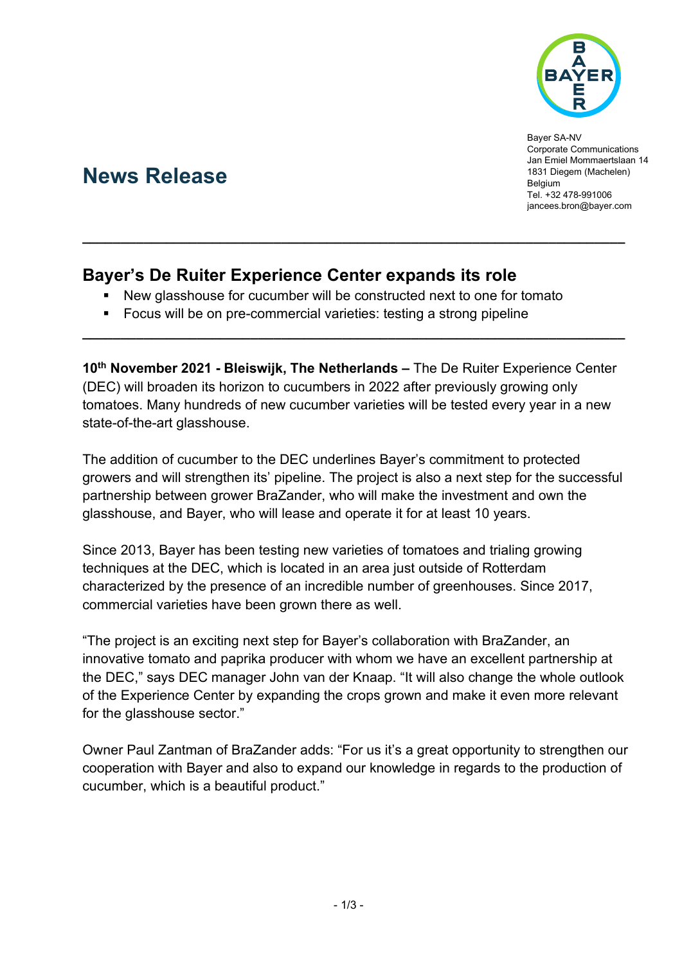

Bayer SA-NV Corporate Communications Jan Emiel Mommaertslaan 14 1831 Diegem (Machelen) Belgium Tel. +32 478-991006 [jancees.bron@bayer.com](mailto:jancees.bron@bayer.com)

# **News Release**

## **Bayer's De Ruiter Experience Center expands its role**

New glasshouse for cucumber will be constructed next to one for tomato

**\_\_\_\_\_\_\_\_\_\_\_\_\_\_\_\_\_\_\_\_\_\_\_\_\_\_\_\_\_\_\_\_\_\_\_\_\_\_\_\_\_\_\_\_\_\_\_\_\_\_\_\_\_\_\_\_\_\_\_\_\_\_\_\_\_\_\_\_\_\_\_**

**Focus will be on pre-commercial varieties: testing a strong pipeline** 

**10th November 2021 - Bleiswijk, The Netherlands –** The De Ruiter Experience Center (DEC) will broaden its horizon to cucumbers in 2022 after previously growing only tomatoes. Many hundreds of new cucumber varieties will be tested every year in a new state-of-the-art glasshouse.

**\_\_\_\_\_\_\_\_\_\_\_\_\_\_\_\_\_\_\_\_\_\_\_\_\_\_\_\_\_\_\_\_\_\_\_\_\_\_\_\_\_\_\_\_\_\_\_\_\_\_\_\_\_\_\_\_\_\_\_\_\_\_\_\_\_\_\_\_\_\_\_**

The addition of cucumber to the DEC underlines Bayer's commitment to protected growers and will strengthen its' pipeline. The project is also a next step for the successful partnership between grower BraZander, who will make the investment and own the glasshouse, and Bayer, who will lease and operate it for at least 10 years.

Since 2013, Bayer has been testing new varieties of tomatoes and trialing growing techniques at the DEC, which is located in an area just outside of Rotterdam characterized by the presence of an incredible number of greenhouses. Since 2017, commercial varieties have been grown there as well.

"The project is an exciting next step for Bayer's collaboration with BraZander, an innovative tomato and paprika producer with whom we have an excellent partnership at the DEC," says DEC manager John van der Knaap. "It will also change the whole outlook of the Experience Center by expanding the crops grown and make it even more relevant for the glasshouse sector."

Owner Paul Zantman of BraZander adds: "For us it's a great opportunity to strengthen our cooperation with Bayer and also to expand our knowledge in regards to the production of cucumber, which is a beautiful product."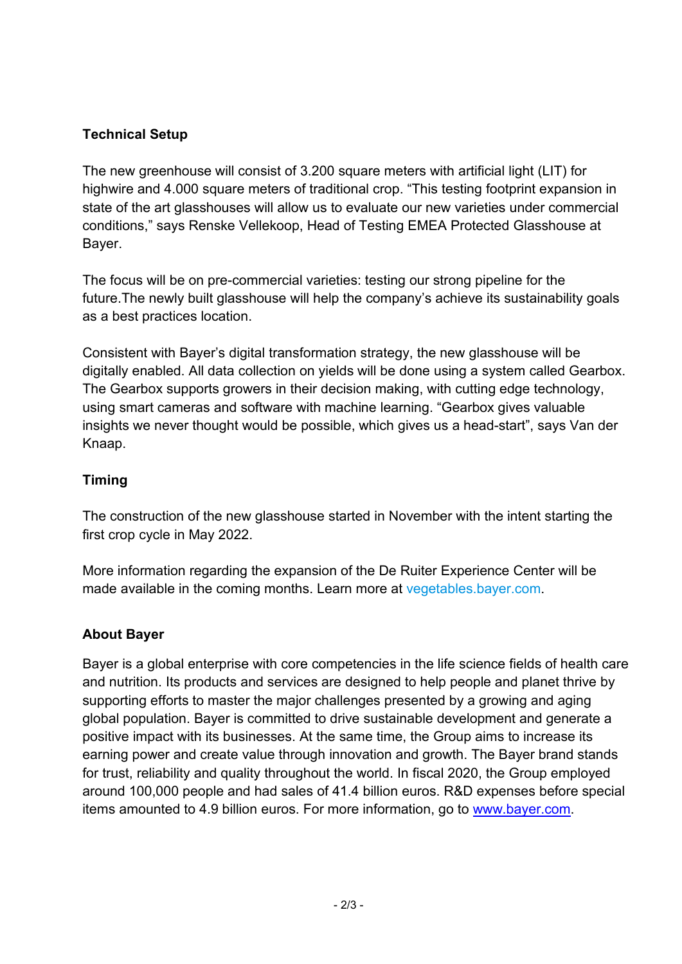### **Technical Setup**

The new greenhouse will consist of 3.200 square meters with artificial light (LIT) for highwire and 4.000 square meters of traditional crop. "This testing footprint expansion in state of the art glasshouses will allow us to evaluate our new varieties under commercial conditions," says Renske Vellekoop, Head of Testing EMEA Protected Glasshouse at Bayer.

The focus will be on pre-commercial varieties: testing our strong pipeline for the future.The newly built glasshouse will help the company's achieve its sustainability goals as a best practices location.

Consistent with Bayer's digital transformation strategy, the new glasshouse will be digitally enabled. All data collection on yields will be done using a system called Gearbox. The Gearbox supports growers in their decision making, with cutting edge technology, using smart cameras and software with machine learning. "Gearbox gives valuable insights we never thought would be possible, which gives us a head-start", says Van der Knaap.

#### **Timing**

The construction of the new glasshouse started in November with the intent starting the first crop cycle in May 2022.

More information regarding the expansion of the De Ruiter Experience Center will be made available in the coming months. Learn more at [vegetables.bayer.com.](https://www.vegetables.bayer.com/country-language-selector.html)

#### **About Bayer**

Bayer is a global enterprise with core competencies in the life science fields of health care and nutrition. Its products and services are designed to help people and planet thrive by supporting efforts to master the major challenges presented by a growing and aging global population. Bayer is committed to drive sustainable development and generate a positive impact with its businesses. At the same time, the Group aims to increase its earning power and create value through innovation and growth. The Bayer brand stands for trust, reliability and quality throughout the world. In fiscal 2020, the Group employed around 100,000 people and had sales of 41.4 billion euros. R&D expenses before special items amounted to 4.9 billion euros. For more information, go to [www.bayer.com.](http://www.bayer.com/)